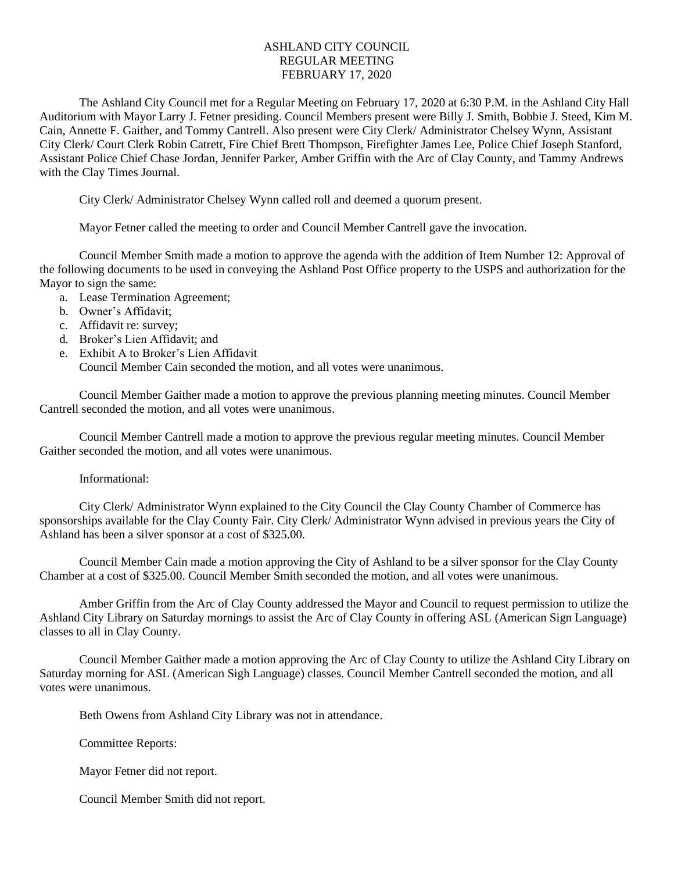## ASHLAND CITY COUNCIL REGULAR MEETING FEBRUARY 17, 2020

The Ashland City Council met for a Regular Meeting on February 17, 2020 at 6:30 P.M. in the Ashland City Hall Auditorium with Mayor Larry J. Fetner presiding. Council Members present were Billy J. Smith, Bobbie J. Steed, Kim M. Cain, Annette F. Gaither, and Tommy Cantrell. Also present were City Clerk/ Administrator Chelsey Wynn, Assistant City Clerk/ Court Clerk Robin Catrett, Fire Chief Brett Thompson, Firefighter James Lee, Police Chief Joseph Stanford, Assistant Police Chief Chase Jordan, Jennifer Parker, Amber Griffin with the Arc of Clay County, and Tammy Andrews with the Clay Times Journal.

City Clerk/ Administrator Chelsey Wynn called roll and deemed a quorum present.

Mayor Fetner called the meeting to order and Council Member Cantrell gave the invocation.

Council Member Smith made a motion to approve the agenda with the addition of Item Number 12: Approval of the following documents to be used in conveying the Ashland Post Office property to the USPS and authorization for the Mayor to sign the same:

- a. Lease Termination Agreement;
- b. Owner's Affidavit;
- c. Affidavit re: survey;
- d. Broker's Lien Affidavit; and
- e. Exhibit A to Broker's Lien Affidavit Council Member Cain seconded the motion, and all votes were unanimous.

Council Member Gaither made a motion to approve the previous planning meeting minutes. Council Member Cantrell seconded the motion, and all votes were unanimous.

Council Member Cantrell made a motion to approve the previous regular meeting minutes. Council Member Gaither seconded the motion, and all votes were unanimous.

## Informational:

City Clerk/ Administrator Wynn explained to the City Council the Clay County Chamber of Commerce has sponsorships available for the Clay County Fair. City Clerk/ Administrator Wynn advised in previous years the City of Ashland has been a silver sponsor at a cost of \$325.00.

Council Member Cain made a motion approving the City of Ashland to be a silver sponsor for the Clay County Chamber at a cost of \$325.00. Council Member Smith seconded the motion, and all votes were unanimous.

Amber Griffin from the Arc of Clay County addressed the Mayor and Council to request permission to utilize the Ashland City Library on Saturday mornings to assist the Arc of Clay County in offering ASL (American Sign Language) classes to all in Clay County.

Council Member Gaither made a motion approving the Arc of Clay County to utilize the Ashland City Library on Saturday morning for ASL (American Sigh Language) classes. Council Member Cantrell seconded the motion, and all votes were unanimous.

Beth Owens from Ashland City Library was not in attendance.

Committee Reports:

Mayor Fetner did not report.

Council Member Smith did not report.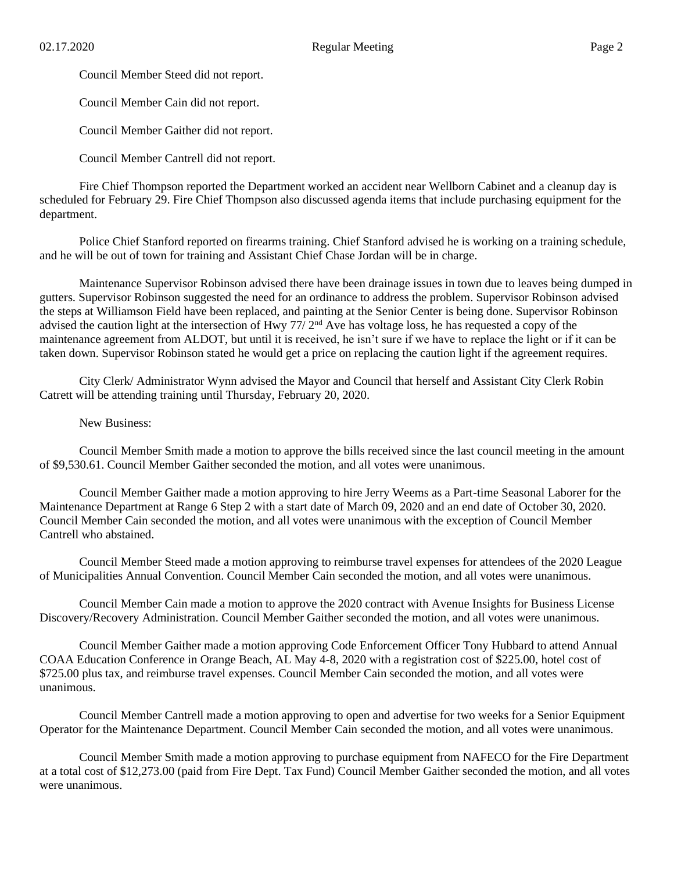Council Member Steed did not report.

Council Member Cain did not report.

Council Member Gaither did not report.

Council Member Cantrell did not report.

Fire Chief Thompson reported the Department worked an accident near Wellborn Cabinet and a cleanup day is scheduled for February 29. Fire Chief Thompson also discussed agenda items that include purchasing equipment for the department.

Police Chief Stanford reported on firearms training. Chief Stanford advised he is working on a training schedule, and he will be out of town for training and Assistant Chief Chase Jordan will be in charge.

Maintenance Supervisor Robinson advised there have been drainage issues in town due to leaves being dumped in gutters. Supervisor Robinson suggested the need for an ordinance to address the problem. Supervisor Robinson advised the steps at Williamson Field have been replaced, and painting at the Senior Center is being done. Supervisor Robinson advised the caution light at the intersection of Hwy 77/ 2<sup>nd</sup> Ave has voltage loss, he has requested a copy of the maintenance agreement from ALDOT, but until it is received, he isn't sure if we have to replace the light or if it can be taken down. Supervisor Robinson stated he would get a price on replacing the caution light if the agreement requires.

City Clerk/ Administrator Wynn advised the Mayor and Council that herself and Assistant City Clerk Robin Catrett will be attending training until Thursday, February 20, 2020.

New Business:

Council Member Smith made a motion to approve the bills received since the last council meeting in the amount of \$9,530.61. Council Member Gaither seconded the motion, and all votes were unanimous.

Council Member Gaither made a motion approving to hire Jerry Weems as a Part-time Seasonal Laborer for the Maintenance Department at Range 6 Step 2 with a start date of March 09, 2020 and an end date of October 30, 2020. Council Member Cain seconded the motion, and all votes were unanimous with the exception of Council Member Cantrell who abstained.

Council Member Steed made a motion approving to reimburse travel expenses for attendees of the 2020 League of Municipalities Annual Convention. Council Member Cain seconded the motion, and all votes were unanimous.

Council Member Cain made a motion to approve the 2020 contract with Avenue Insights for Business License Discovery/Recovery Administration. Council Member Gaither seconded the motion, and all votes were unanimous.

Council Member Gaither made a motion approving Code Enforcement Officer Tony Hubbard to attend Annual COAA Education Conference in Orange Beach, AL May 4-8, 2020 with a registration cost of \$225.00, hotel cost of \$725.00 plus tax, and reimburse travel expenses. Council Member Cain seconded the motion, and all votes were unanimous.

Council Member Cantrell made a motion approving to open and advertise for two weeks for a Senior Equipment Operator for the Maintenance Department. Council Member Cain seconded the motion, and all votes were unanimous.

Council Member Smith made a motion approving to purchase equipment from NAFECO for the Fire Department at a total cost of \$12,273.00 (paid from Fire Dept. Tax Fund) Council Member Gaither seconded the motion, and all votes were unanimous.